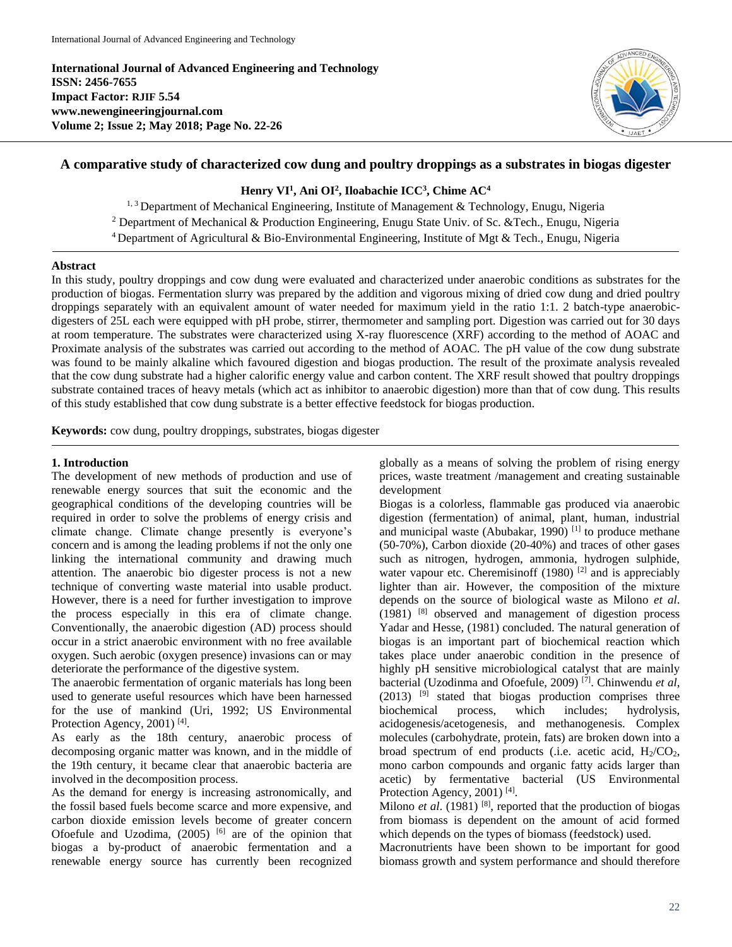**International Journal of Advanced Engineering and Technology ISSN: 2456-7655 Impact Factor: RJIF 5.54 www.newengineeringjournal.com Volume 2; Issue 2; May 2018; Page No. 22-26**



# **A comparative study of characterized cow dung and poultry droppings as a substrates in biogas digester**

### **Henry VI<sup>1</sup> , Ani OI<sup>2</sup> , Iloabachie ICC<sup>3</sup> , Chime AC<sup>4</sup>**

<sup>1, 3</sup> Department of Mechanical Engineering, Institute of Management & Technology, Enugu, Nigeria <sup>2</sup> Department of Mechanical & Production Engineering, Enugu State Univ. of Sc. &Tech., Enugu, Nigeria <sup>4</sup> Department of Agricultural & Bio-Environmental Engineering, Institute of Mgt & Tech., Enugu, Nigeria

#### **Abstract**

In this study, poultry droppings and cow dung were evaluated and characterized under anaerobic conditions as substrates for the production of biogas. Fermentation slurry was prepared by the addition and vigorous mixing of dried cow dung and dried poultry droppings separately with an equivalent amount of water needed for maximum yield in the ratio 1:1. 2 batch-type anaerobicdigesters of 25L each were equipped with pH probe, stirrer, thermometer and sampling port. Digestion was carried out for 30 days at room temperature. The substrates were characterized using X-ray fluorescence (XRF) according to the method of AOAC and Proximate analysis of the substrates was carried out according to the method of AOAC. The pH value of the cow dung substrate was found to be mainly alkaline which favoured digestion and biogas production. The result of the proximate analysis revealed that the cow dung substrate had a higher calorific energy value and carbon content. The XRF result showed that poultry droppings substrate contained traces of heavy metals (which act as inhibitor to anaerobic digestion) more than that of cow dung. This results of this study established that cow dung substrate is a better effective feedstock for biogas production.

**Keywords:** cow dung, poultry droppings, substrates, biogas digester

#### **1. Introduction**

The development of new methods of production and use of renewable energy sources that suit the economic and the geographical conditions of the developing countries will be required in order to solve the problems of energy crisis and climate change. Climate change presently is everyone's concern and is among the leading problems if not the only one linking the international community and drawing much attention. The anaerobic bio digester process is not a new technique of converting waste material into usable product. However, there is a need for further investigation to improve the process especially in this era of climate change. Conventionally, the anaerobic digestion (AD) process should occur in a strict anaerobic environment with no free available oxygen. Such aerobic (oxygen presence) invasions can or may deteriorate the performance of the digestive system.

The anaerobic fermentation of organic materials has long been used to generate useful resources which have been harnessed for the use of mankind (Uri, 1992; US Environmental Protection Agency, 2001)<sup>[4]</sup>.

As early as the 18th century, anaerobic process of decomposing organic matter was known, and in the middle of the 19th century, it became clear that anaerobic bacteria are involved in the decomposition process.

As the demand for energy is increasing astronomically, and the fossil based fuels become scarce and more expensive, and carbon dioxide emission levels become of greater concern Ofoefule and Uzodima,  $(2005)$  <sup>[6]</sup> are of the opinion that biogas a by-product of anaerobic fermentation and a renewable energy source has currently been recognized globally as a means of solving the problem of rising energy prices, waste treatment /management and creating sustainable development

Biogas is a colorless, flammable gas produced via anaerobic digestion (fermentation) of animal, plant, human, industrial and municipal waste (Abubakar, 1990)<sup>[1]</sup> to produce methane (50-70%), Carbon dioxide (20-40%) and traces of other gases such as nitrogen, hydrogen, ammonia, hydrogen sulphide, water vapour etc. Cheremisinoff (1980)<sup>[2]</sup> and is appreciably lighter than air. However, the composition of the mixture depends on the source of biological waste as Milono *et al*.  $(1981)$  <sup>[8]</sup> observed and management of digestion process Yadar and Hesse, (1981) concluded. The natural generation of biogas is an important part of biochemical reaction which takes place under anaerobic condition in the presence of highly pH sensitive microbiological catalyst that are mainly bacterial (Uzodinma and Ofoefule, 2009) [7]. Chinwendu *et al*,  $(2013)$  <sup>[9]</sup> stated that biogas production comprises three biochemical process, which includes; hydrolysis, acidogenesis/acetogenesis, and methanogenesis. Complex molecules (carbohydrate, protein, fats) are broken down into a broad spectrum of end products (i.e. acetic acid,  $H_2/CO_2$ , mono carbon compounds and organic fatty acids larger than acetic) by fermentative bacterial (US Environmental Protection Agency, 2001)<sup>[4]</sup>.

Milono *et al.* (1981) <sup>[8]</sup>, reported that the production of biogas from biomass is dependent on the amount of acid formed which depends on the types of biomass (feedstock) used.

Macronutrients have been shown to be important for good biomass growth and system performance and should therefore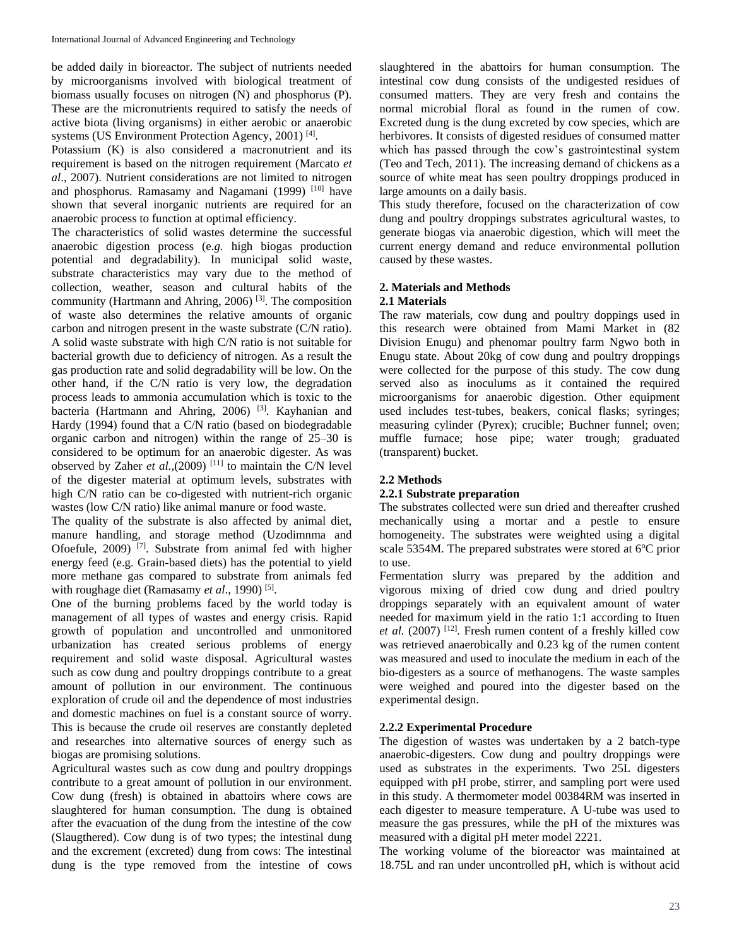be added daily in bioreactor. The subject of nutrients needed by microorganisms involved with biological treatment of biomass usually focuses on nitrogen (N) and phosphorus (P). These are the micronutrients required to satisfy the needs of active biota (living organisms) in either aerobic or anaerobic systems (US Environment Protection Agency, 2001)<sup>[4]</sup>.

Potassium (K) is also considered a macronutrient and its requirement is based on the nitrogen requirement (Marcato *et al*., 2007). Nutrient considerations are not limited to nitrogen and phosphorus. Ramasamy and Nagamani (1999) [10] have shown that several inorganic nutrients are required for an anaerobic process to function at optimal efficiency.

The characteristics of solid wastes determine the successful anaerobic digestion process (e*.g.* high biogas production potential and degradability). In municipal solid waste, substrate characteristics may vary due to the method of collection, weather, season and cultural habits of the community (Hartmann and Ahring, 2006) [3]. The composition of waste also determines the relative amounts of organic carbon and nitrogen present in the waste substrate (C/N ratio). A solid waste substrate with high C/N ratio is not suitable for bacterial growth due to deficiency of nitrogen. As a result the gas production rate and solid degradability will be low. On the other hand, if the C/N ratio is very low, the degradation process leads to ammonia accumulation which is toxic to the bacteria (Hartmann and Ahring, 2006)<sup>[3]</sup>. Kayhanian and Hardy (1994) found that a C/N ratio (based on biodegradable organic carbon and nitrogen) within the range of 25–30 is considered to be optimum for an anaerobic digester. As was observed by Zaher *et al.*, (2009)<sup>[11]</sup> to maintain the C/N level of the digester material at optimum levels, substrates with high C/N ratio can be co-digested with nutrient-rich organic wastes (low C/N ratio) like animal manure or food waste.

The quality of the substrate is also affected by animal diet, manure handling, and storage method (Uzodimnma and Ofoefule, 2009) [7]. Substrate from animal fed with higher energy feed (e.g. Grain-based diets) has the potential to yield more methane gas compared to substrate from animals fed with roughage diet (Ramasamy et al., 1990)<sup>[5]</sup>.

One of the burning problems faced by the world today is management of all types of wastes and energy crisis. Rapid growth of population and uncontrolled and unmonitored urbanization has created serious problems of energy requirement and solid waste disposal. Agricultural wastes such as cow dung and poultry droppings contribute to a great amount of pollution in our environment. The continuous exploration of crude oil and the dependence of most industries and domestic machines on fuel is a constant source of worry. This is because the crude oil reserves are constantly depleted and researches into alternative sources of energy such as biogas are promising solutions.

Agricultural wastes such as cow dung and poultry droppings contribute to a great amount of pollution in our environment. Cow dung (fresh) is obtained in abattoirs where cows are slaughtered for human consumption. The dung is obtained after the evacuation of the dung from the intestine of the cow (Slaugthered). Cow dung is of two types; the intestinal dung and the excrement (excreted) dung from cows: The intestinal dung is the type removed from the intestine of cows slaughtered in the abattoirs for human consumption. The intestinal cow dung consists of the undigested residues of consumed matters. They are very fresh and contains the normal microbial floral as found in the rumen of cow. Excreted dung is the dung excreted by cow species, which are herbivores. It consists of digested residues of consumed matter which has passed through the cow's gastrointestinal system (Teo and Tech, 2011). The increasing demand of chickens as a source of white meat has seen poultry droppings produced in large amounts on a daily basis.

This study therefore, focused on the characterization of cow dung and poultry droppings substrates agricultural wastes, to generate biogas via anaerobic digestion, which will meet the current energy demand and reduce environmental pollution caused by these wastes.

## **2. Materials and Methods**

### **2.1 Materials**

The raw materials, cow dung and poultry doppings used in this research were obtained from Mami Market in (82 Division Enugu) and phenomar poultry farm Ngwo both in Enugu state. About 20kg of cow dung and poultry droppings were collected for the purpose of this study. The cow dung served also as inoculums as it contained the required microorganisms for anaerobic digestion. Other equipment used includes test-tubes, beakers, conical flasks; syringes; measuring cylinder (Pyrex); crucible; Buchner funnel; oven; muffle furnace; hose pipe; water trough; graduated (transparent) bucket.

## **2.2 Methods**

## **2.2.1 Substrate preparation**

The substrates collected were sun dried and thereafter crushed mechanically using a mortar and a pestle to ensure homogeneity. The substrates were weighted using a digital scale 5354M. The prepared substrates were stored at  $6^{\circ}$ C prior to use.

Fermentation slurry was prepared by the addition and vigorous mixing of dried cow dung and dried poultry droppings separately with an equivalent amount of water needed for maximum yield in the ratio 1:1 according to Ituen *et al.* (2007) [12]. Fresh rumen content of a freshly killed cow was retrieved anaerobically and 0.23 kg of the rumen content was measured and used to inoculate the medium in each of the bio-digesters as a source of methanogens. The waste samples were weighed and poured into the digester based on the experimental design.

## **2.2.2 Experimental Procedure**

The digestion of wastes was undertaken by a 2 batch-type anaerobic-digesters. Cow dung and poultry droppings were used as substrates in the experiments. Two 25L digesters equipped with pH probe, stirrer, and sampling port were used in this study. A thermometer model 00384RM was inserted in each digester to measure temperature. A U-tube was used to measure the gas pressures, while the pH of the mixtures was measured with a digital pH meter model 2221.

The working volume of the bioreactor was maintained at 18.75L and ran under uncontrolled pH, which is without acid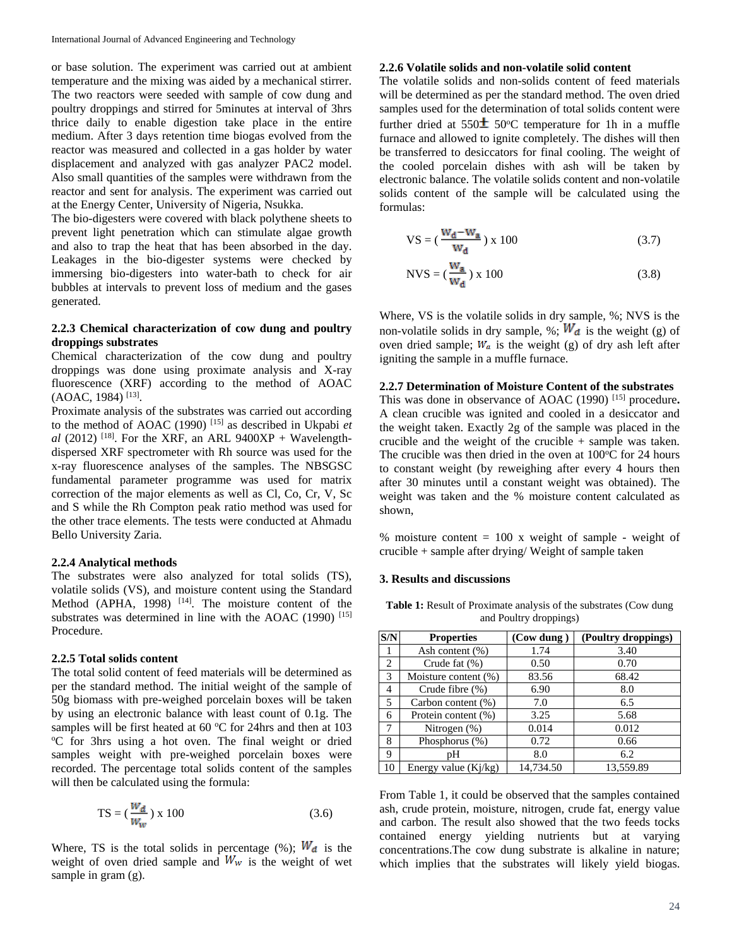or base solution. The experiment was carried out at ambient temperature and the mixing was aided by a mechanical stirrer. The two reactors were seeded with sample of cow dung and poultry droppings and stirred for 5minutes at interval of 3hrs thrice daily to enable digestion take place in the entire medium. After 3 days retention time biogas evolved from the reactor was measured and collected in a gas holder by water displacement and analyzed with gas analyzer PAC2 model. Also small quantities of the samples were withdrawn from the reactor and sent for analysis. The experiment was carried out at the Energy Center, University of Nigeria, Nsukka.

The bio-digesters were covered with black polythene sheets to prevent light penetration which can stimulate algae growth and also to trap the heat that has been absorbed in the day. Leakages in the bio-digester systems were checked by immersing bio-digesters into water-bath to check for air bubbles at intervals to prevent loss of medium and the gases generated.

### **2.2.3 Chemical characterization of cow dung and poultry droppings substrates**

Chemical characterization of the cow dung and poultry droppings was done using proximate analysis and X-ray fluorescence (XRF) according to the method of AOAC (AOAC, 1984)<sup>[13]</sup>.

Proximate analysis of the substrates was carried out according to the method of AOAC (1990) [15] as described in Ukpabi *et*   $al$  (2012) <sup>[18]</sup>. For the XRF, an ARL 9400XP + Wavelengthdispersed XRF spectrometer with Rh source was used for the x-ray fluorescence analyses of the samples. The NBSGSC fundamental parameter programme was used for matrix correction of the major elements as well as Cl, Co, Cr, V, Sc and S while the Rh Compton peak ratio method was used for the other trace elements. The tests were conducted at Ahmadu Bello University Zaria.

#### **2.2.4 Analytical methods**

The substrates were also analyzed for total solids (TS), volatile solids (VS), and moisture content using the Standard Method (APHA, 1998)  $[14]$ . The moisture content of the substrates was determined in line with the AOAC  $(1990)$ <sup>[15]</sup> Procedure.

#### **2.2.5 Total solids content**

The total solid content of feed materials will be determined as per the standard method. The initial weight of the sample of 50g biomass with pre-weighed porcelain boxes will be taken by using an electronic balance with least count of 0.1g. The samples will be first heated at 60  $\degree$ C for 24hrs and then at 103 <sup>o</sup>C for 3hrs using a hot oven. The final weight or dried samples weight with pre-weighed porcelain boxes were recorded. The percentage total solids content of the samples will then be calculated using the formula:

$$
TS = \left(\frac{W_d}{W_W}\right) \times 100\tag{3.6}
$$

Where, TS is the total solids in percentage (%);  $W_d$  is the weight of oven dried sample and  $W_w$  is the weight of wet sample in gram  $(g)$ .

### **2.2.6 Volatile solids and non-volatile solid content**

The volatile solids and non-solids content of feed materials will be determined as per the standard method. The oven dried samples used for the determination of total solids content were further dried at  $550\pm 50^{\circ}$ C temperature for 1h in a muffle furnace and allowed to ignite completely. The dishes will then be transferred to desiccators for final cooling. The weight of the cooled porcelain dishes with ash will be taken by electronic balance. The volatile solids content and non-volatile solids content of the sample will be calculated using the formulas:

$$
VS = \left(\frac{W_d - W_a}{W_d}\right) \times 100\tag{3.7}
$$

$$
NVS = (\frac{w_a}{w_d}) \times 100
$$
 (3.8)

Where, VS is the volatile solids in dry sample, %; NVS is the non-volatile solids in dry sample, %;  $W_d$  is the weight (g) of oven dried sample;  $W_a$  is the weight (g) of dry ash left after igniting the sample in a muffle furnace.

#### **2.2.7 Determination of Moisture Content of the substrates**

This was done in observance of AOAC (1990) [15] procedure**.**  A clean crucible was ignited and cooled in a desiccator and the weight taken. Exactly 2g of the sample was placed in the crucible and the weight of the crucible + sample was taken. The crucible was then dried in the oven at  $100^{\circ}$ C for 24 hours to constant weight (by reweighing after every 4 hours then after 30 minutes until a constant weight was obtained). The weight was taken and the % moisture content calculated as shown,

% moisture content  $= 100$  x weight of sample - weight of crucible + sample after drying/ Weight of sample taken

#### **3. Results and discussions**

Table 1: Result of Proximate analysis of the substrates (Cow dung and Poultry droppings)

| S/N | <b>Properties</b>      | $(Cow \, \text{dung})$ | (Poultry droppings) |
|-----|------------------------|------------------------|---------------------|
|     | Ash content (%)        | 1.74                   | 3.40                |
| 2   | Crude fat $(\%)$       | 0.50                   | 0.70                |
| 3   | Moisture content (%)   | 83.56                  | 68.42               |
| 4   | Crude fibre (%)        | 6.90                   | 8.0                 |
| 5   | Carbon content $(\%)$  | 7.0                    | 6.5                 |
| 6   | Protein content (%)    | 3.25                   | 5.68                |
| 7   | Nitrogen (%)           | 0.014                  | 0.012               |
| 8   | Phosphorus $(\%)$      | 0.72                   | 0.66                |
| 9   | pН                     | 8.0                    | 6.2                 |
| 10  | Energy value $(Ki/kg)$ | 14,734.50              | 13,559.89           |

From Table 1, it could be observed that the samples contained ash, crude protein, moisture, nitrogen, crude fat, energy value and carbon. The result also showed that the two feeds tocks contained energy yielding nutrients but at varying concentrations.The cow dung substrate is alkaline in nature; which implies that the substrates will likely yield biogas.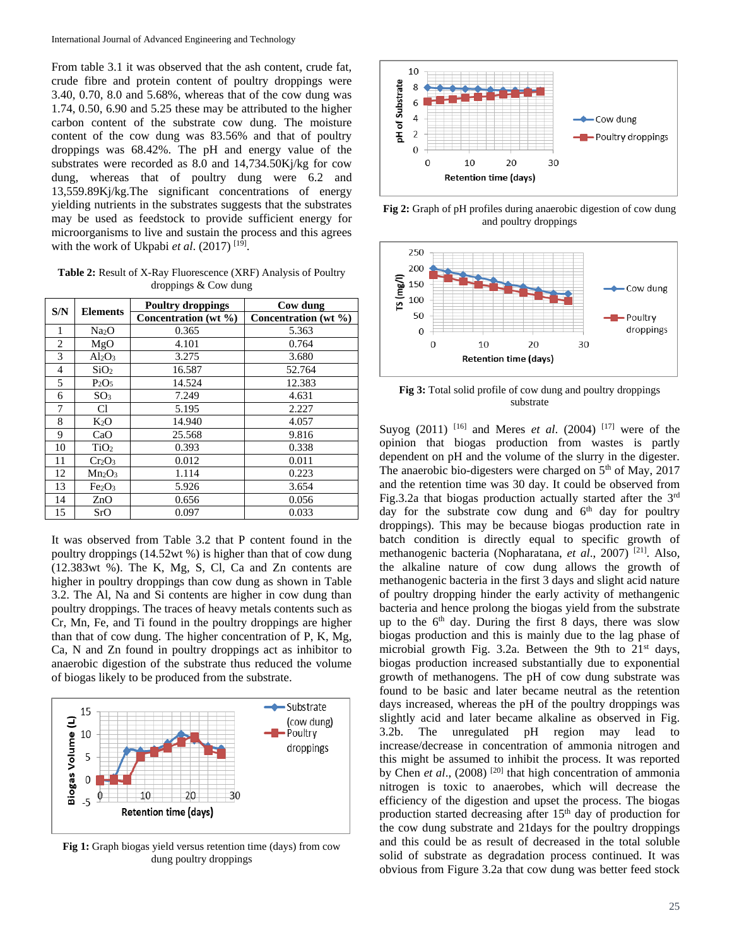From table 3.1 it was observed that the ash content, crude fat, crude fibre and protein content of poultry droppings were 3.40, 0.70, 8.0 and 5.68%, whereas that of the cow dung was 1.74, 0.50, 6.90 and 5.25 these may be attributed to the higher carbon content of the substrate cow dung. The moisture content of the cow dung was 83.56% and that of poultry droppings was 68.42%. The pH and energy value of the substrates were recorded as 8.0 and 14,734.50Kj/kg for cow dung, whereas that of poultry dung were 6.2 and 13,559.89Kj/kg.The significant concentrations of energy yielding nutrients in the substrates suggests that the substrates may be used as feedstock to provide sufficient energy for microorganisms to live and sustain the process and this agrees with the work of Ukpabi *et al.* (2017)<sup>[19]</sup>.

**Table 2:** Result of X-Ray Fluorescence (XRF) Analysis of Poultry droppings & Cow dung

| S/N            | <b>Elements</b>                | <b>Poultry droppings</b> | Cow dung             |
|----------------|--------------------------------|--------------------------|----------------------|
|                |                                | Concentration (wt %)     | Concentration (wt %) |
| 1              | Na <sub>2</sub> O              | 0.365                    | 5.363                |
| $\mathfrak{D}$ | MgO                            | 4.101                    | 0.764                |
| 3              | $Al_2O_3$                      | 3.275                    | 3.680                |
| 4              | SiO <sub>2</sub>               | 16.587                   | 52.764               |
| 5              | P <sub>2</sub> O <sub>5</sub>  | 14.524                   | 12.383               |
| 6              | SO <sub>3</sub>                | 7.249                    | 4.631                |
| 7              | Cl                             | 5.195                    | 2.227                |
| 8              | $K_2O$                         | 14.940                   | 4.057                |
| 9              | CaO                            | 25.568                   | 9.816                |
| 10             | TiO <sub>2</sub>               | 0.393                    | 0.338                |
| 11             | $Cr_2O_3$                      | 0.012                    | 0.011                |
| 12             | $Mn_2O_3$                      | 1.114                    | 0.223                |
| 13             | Fe <sub>2</sub> O <sub>3</sub> | 5.926                    | 3.654                |
| 14             | ZnO                            | 0.656                    | 0.056                |
| 15             | SrO                            | 0.097                    | 0.033                |

It was observed from Table 3.2 that P content found in the poultry droppings (14.52wt %) is higher than that of cow dung (12.383wt %). The K, Mg, S, Cl, Ca and Zn contents are higher in poultry droppings than cow dung as shown in Table 3.2. The Al, Na and Si contents are higher in cow dung than poultry droppings. The traces of heavy metals contents such as Cr, Mn, Fe, and Ti found in the poultry droppings are higher than that of cow dung. The higher concentration of P, K, Mg, Ca, N and Zn found in poultry droppings act as inhibitor to anaerobic digestion of the substrate thus reduced the volume of biogas likely to be produced from the substrate.



**Fig 1:** Graph biogas yield versus retention time (days) from cow dung poultry droppings



**Fig 2:** Graph of pH profiles during anaerobic digestion of cow dung and poultry droppings



**Fig 3:** Total solid profile of cow dung and poultry droppings substrate

Suyog (2011) <sup>[16]</sup> and Meres *et al.* (2004) <sup>[17]</sup> were of the opinion that biogas production from wastes is partly dependent on pH and the volume of the slurry in the digester. The anaerobic bio-digesters were charged on  $5<sup>th</sup>$  of May, 2017 and the retention time was 30 day. It could be observed from Fig.3.2a that biogas production actually started after the 3rd day for the substrate cow dung and  $6<sup>th</sup>$  day for poultry droppings). This may be because biogas production rate in batch condition is directly equal to specific growth of methanogenic bacteria (Nopharatana, *et al*., 2007) [21] . Also, the alkaline nature of cow dung allows the growth of methanogenic bacteria in the first 3 days and slight acid nature of poultry dropping hinder the early activity of methangenic bacteria and hence prolong the biogas yield from the substrate up to the  $6<sup>th</sup>$  day. During the first 8 days, there was slow biogas production and this is mainly due to the lag phase of microbial growth Fig. 3.2a. Between the 9th to  $21<sup>st</sup>$  days, biogas production increased substantially due to exponential growth of methanogens. The pH of cow dung substrate was found to be basic and later became neutral as the retention days increased, whereas the pH of the poultry droppings was slightly acid and later became alkaline as observed in Fig. 3.2b. The unregulated pH region may lead to increase/decrease in concentration of ammonia nitrogen and this might be assumed to inhibit the process. It was reported by Chen *et al.*, (2008)<sup>[20]</sup> that high concentration of ammonia nitrogen is toxic to anaerobes, which will decrease the efficiency of the digestion and upset the process. The biogas production started decreasing after  $15<sup>th</sup>$  day of production for the cow dung substrate and 21days for the poultry droppings and this could be as result of decreased in the total soluble solid of substrate as degradation process continued. It was obvious from Figure 3.2a that cow dung was better feed stock